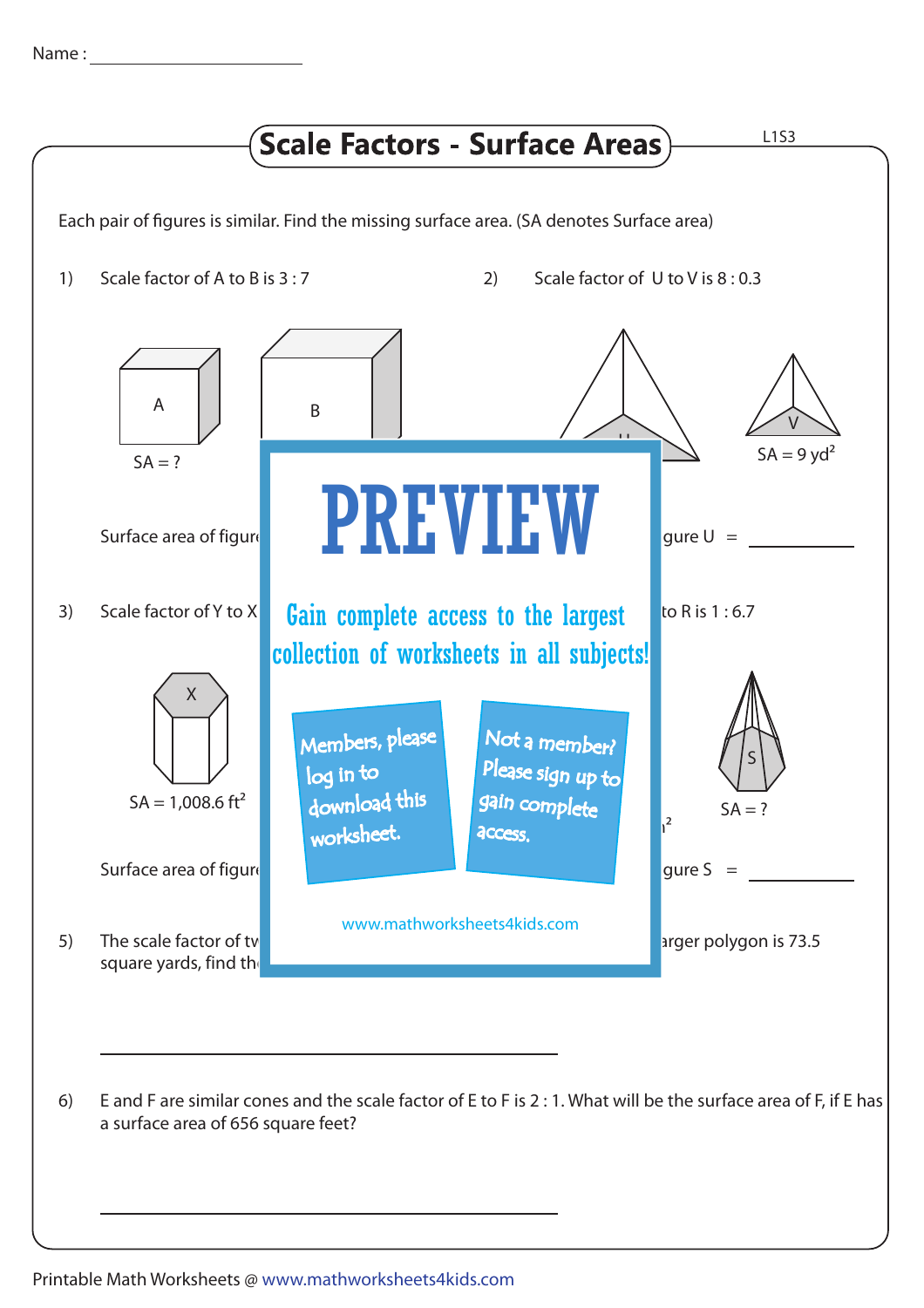